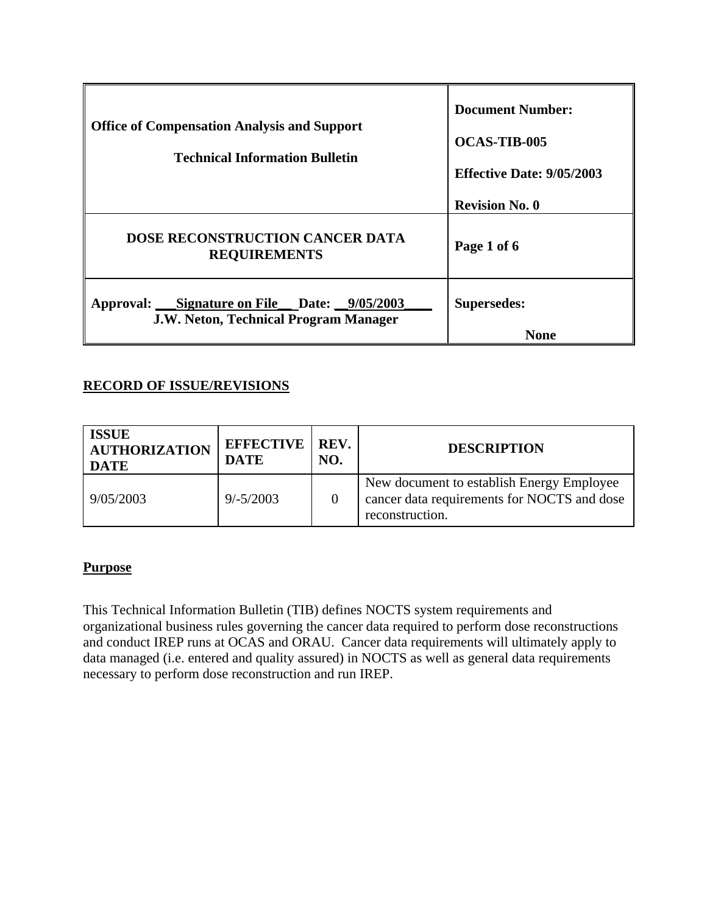| <b>Office of Compensation Analysis and Support</b><br><b>Technical Information Bulletin</b> | <b>Document Number:</b><br><b>OCAS-TIB-005</b><br><b>Effective Date: 9/05/2003</b> |
|---------------------------------------------------------------------------------------------|------------------------------------------------------------------------------------|
|                                                                                             | <b>Revision No. 0</b>                                                              |
| <b>DOSE RECONSTRUCTION CANCER DATA</b><br><b>REQUIREMENTS</b>                               | Page 1 of 6                                                                        |
| Approval: Signature on File Date: 9/05/2003<br><b>J.W. Neton, Technical Program Manager</b> | Supersedes:<br><b>None</b>                                                         |

# **RECORD OF ISSUE/REVISIONS**

| <b>ISSUE</b><br><b>AUTHORIZATION</b><br><b>DATE</b> | <b>EFFECTIVE   REV.</b><br><b>DATE</b> | NO. | <b>DESCRIPTION</b>                                                                                          |
|-----------------------------------------------------|----------------------------------------|-----|-------------------------------------------------------------------------------------------------------------|
| 9/05/2003                                           | $9/-5/2003$                            |     | New document to establish Energy Employee<br>cancer data requirements for NOCTS and dose<br>reconstruction. |

## **Purpose**

This Technical Information Bulletin (TIB) defines NOCTS system requirements and organizational business rules governing the cancer data required to perform dose reconstructions and conduct IREP runs at OCAS and ORAU. Cancer data requirements will ultimately apply to data managed (i.e. entered and quality assured) in NOCTS as well as general data requirements necessary to perform dose reconstruction and run IREP.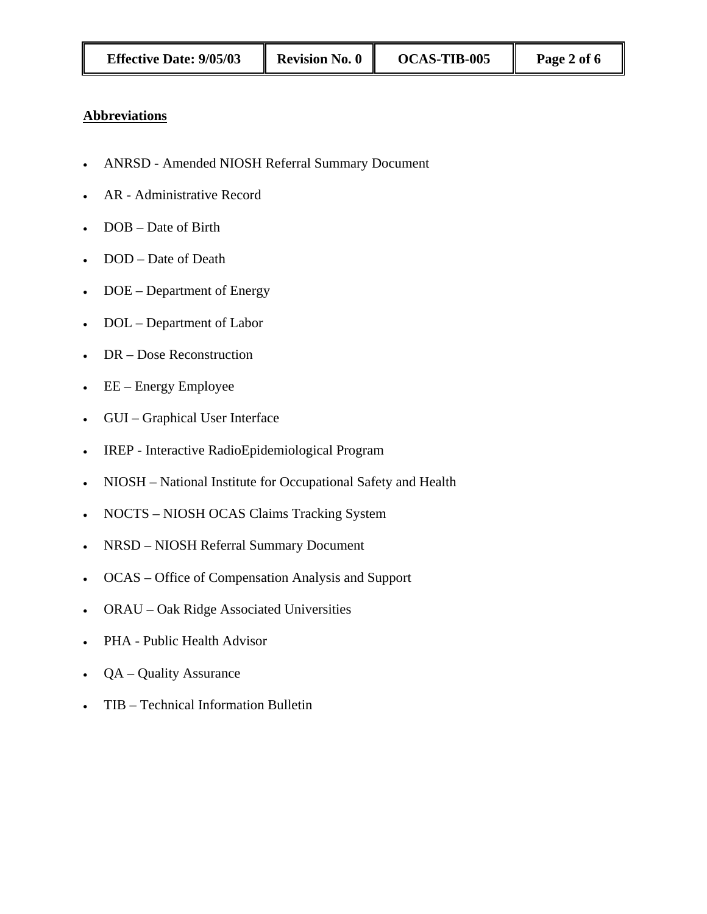#### **Abbreviations**

- ANRSD Amended NIOSH Referral Summary Document
- AR Administrative Record
- DOB Date of Birth
- DOD Date of Death
- DOE Department of Energy
- DOL Department of Labor
- DR Dose Reconstruction
- EE Energy Employee
- GUI Graphical User Interface
- IREP Interactive RadioEpidemiological Program
- NIOSH National Institute for Occupational Safety and Health
- NOCTS NIOSH OCAS Claims Tracking System
- NRSD NIOSH Referral Summary Document
- OCAS Office of Compensation Analysis and Support
- ORAU Oak Ridge Associated Universities
- PHA Public Health Advisor
- QA Quality Assurance
- TIB Technical Information Bulletin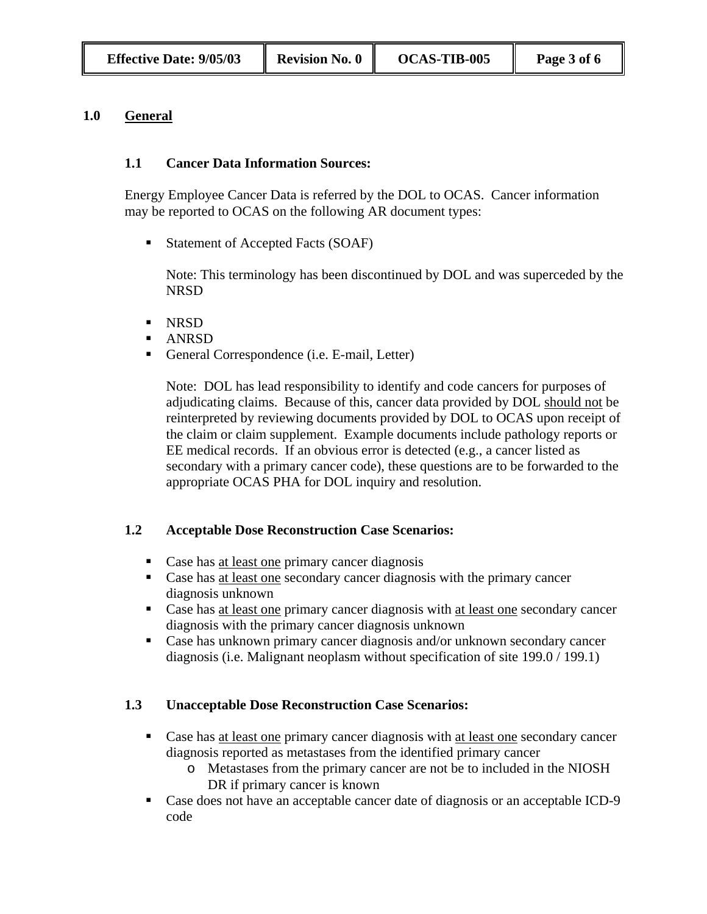#### **1.0 General**

## **1.1 Cancer Data Information Sources:**

Energy Employee Cancer Data is referred by the DOL to OCAS. Cancer information may be reported to OCAS on the following AR document types:

■ Statement of Accepted Facts (SOAF)

Note: This terminology has been discontinued by DOL and was superceded by the NRSD

- **NRSD**
- ANRSD
- General Correspondence (i.e. E-mail, Letter)

Note: DOL has lead responsibility to identify and code cancers for purposes of adjudicating claims. Because of this, cancer data provided by DOL should not be reinterpreted by reviewing documents provided by DOL to OCAS upon receipt of the claim or claim supplement. Example documents include pathology reports or EE medical records. If an obvious error is detected (e.g., a cancer listed as secondary with a primary cancer code), these questions are to be forwarded to the appropriate OCAS PHA for DOL inquiry and resolution.

## **1.2 Acceptable Dose Reconstruction Case Scenarios:**

- Case has <u>at least one</u> primary cancer diagnosis
- Case has at least one secondary cancer diagnosis with the primary cancer diagnosis unknown
- Case has at least one primary cancer diagnosis with at least one secondary cancer diagnosis with the primary cancer diagnosis unknown
- Case has unknown primary cancer diagnosis and/or unknown secondary cancer diagnosis (i.e. Malignant neoplasm without specification of site 199.0 / 199.1)

## **1.3 Unacceptable Dose Reconstruction Case Scenarios:**

- Case has at least one primary cancer diagnosis with at least one secondary cancer diagnosis reported as metastases from the identified primary cancer
	- o Metastases from the primary cancer are not be to included in the NIOSH DR if primary cancer is known
- Case does not have an acceptable cancer date of diagnosis or an acceptable ICD-9 code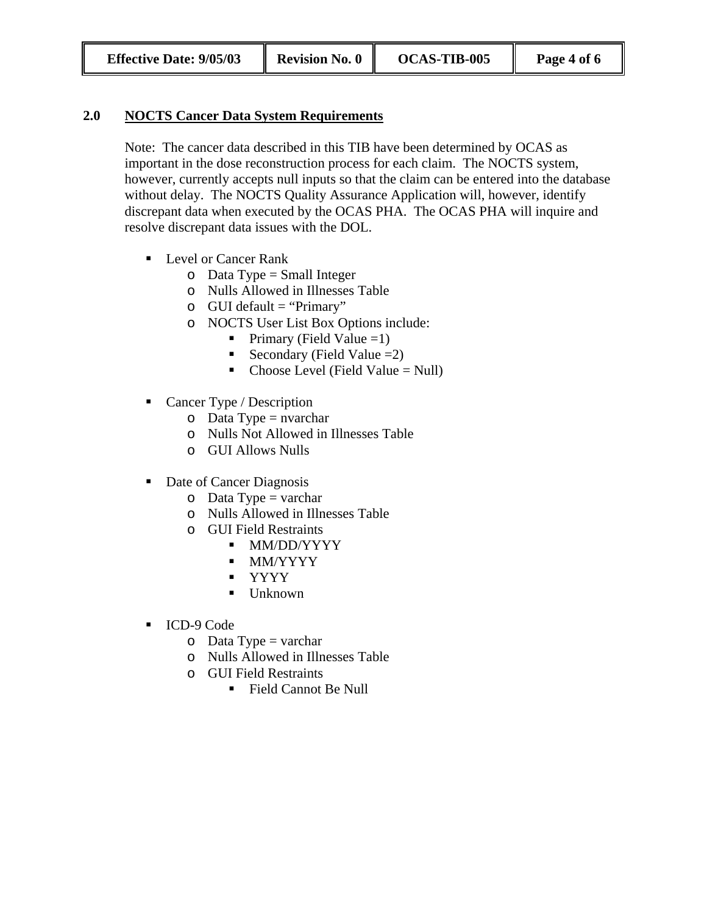## **2.0 NOCTS Cancer Data System Requirements**

Note: The cancer data described in this TIB have been determined by OCAS as important in the dose reconstruction process for each claim. The NOCTS system, however, currently accepts null inputs so that the claim can be entered into the database without delay. The NOCTS Quality Assurance Application will, however, identify discrepant data when executed by the OCAS PHA. The OCAS PHA will inquire and resolve discrepant data issues with the DOL.

- Level or Cancer Rank
	- $\circ$  Data Type = Small Integer
	- o Nulls Allowed in Illnesses Table
	- $\circ$  GUI default = "Primary"
	- o NOCTS User List Box Options include:
		- Primary (Field Value = 1)
		- Secondary (Field Value  $=2$ )
		- Choose Level (Field Value  $=$  Null)
- Cancer Type / Description
	- $\circ$  Data Type = nvarchar
	- o Nulls Not Allowed in Illnesses Table
	- o GUI Allows Nulls
- Date of Cancer Diagnosis
	- $\circ$  Data Type = varchar
	- o Nulls Allowed in Illnesses Table
	- o GUI Field Restraints
		- **MM/DD/YYYY**
		- MM/YYYY
		- YYYY
		- Unknown
- ICD-9 Code
	- $\circ$  Data Type = varchar
	- o Nulls Allowed in Illnesses Table
	- o GUI Field Restraints
		- Field Cannot Be Null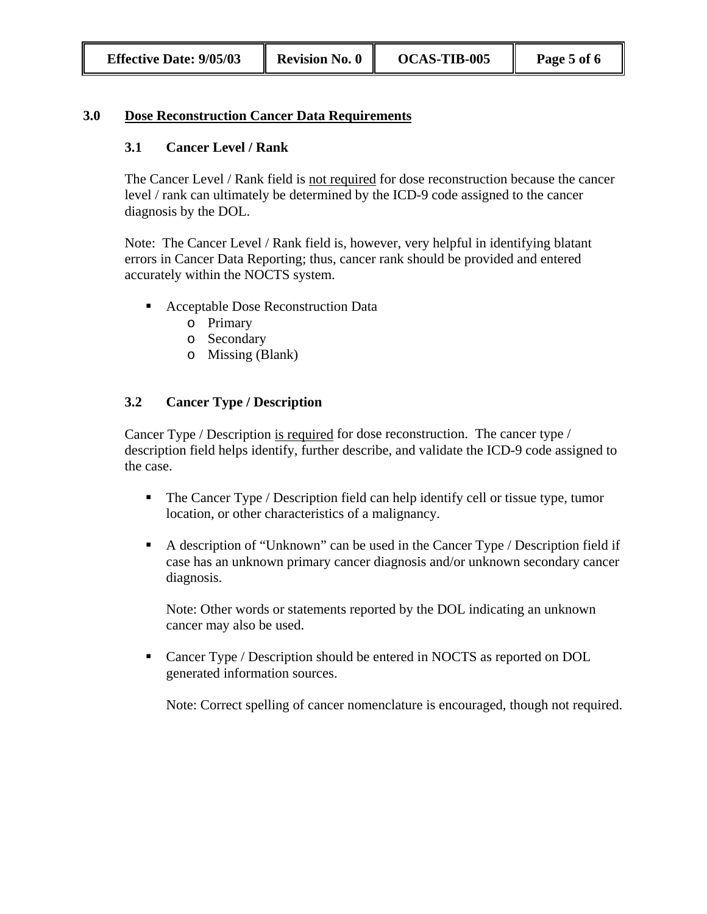#### **3.0 Dose Reconstruction Cancer Data Requirements**

#### **3.1 Cancer Level / Rank**

The Cancer Level / Rank field is not required for dose reconstruction because the cancer level / rank can ultimately be determined by the ICD-9 code assigned to the cancer diagnosis by the DOL.

Note: The Cancer Level / Rank field is, however, very helpful in identifying blatant errors in Cancer Data Reporting; thus, cancer rank should be provided and entered accurately within the NOCTS system.

- Acceptable Dose Reconstruction Data
	- o Primary
	- o Secondary
	- o Missing (Blank)

## **3.2 Cancer Type / Description**

Cancer Type / Description is required for dose reconstruction. The cancer type / description field helps identify, further describe, and validate the ICD-9 code assigned to the case.

- The Cancer Type / Description field can help identify cell or tissue type, tumor location, or other characteristics of a malignancy.
- A description of "Unknown" can be used in the Cancer Type / Description field if case has an unknown primary cancer diagnosis and/or unknown secondary cancer diagnosis.

Note: Other words or statements reported by the DOL indicating an unknown cancer may also be used.

• Cancer Type / Description should be entered in NOCTS as reported on DOL generated information sources.

Note: Correct spelling of cancer nomenclature is encouraged, though not required.